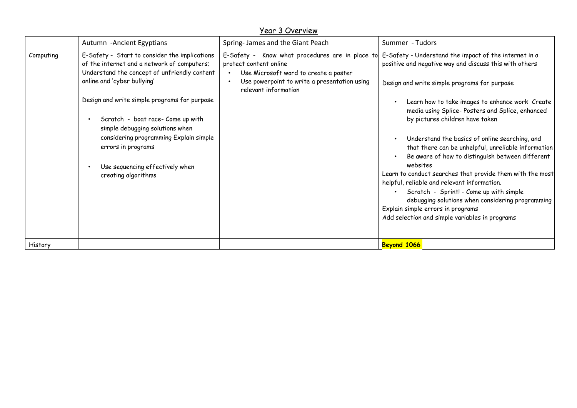## Year 3 Overview

|           | Autumn - Ancient Egyptians                                                                                                                                                                                                                                                                                                                                                                                                    | Spring- James and the Giant Peach                                                                                                                                                          | Summer - Tudors                                                                                                                                                                                                                                                                                                                                                                                                                                                                                                                                                                                                                                                                                                                                                                     |
|-----------|-------------------------------------------------------------------------------------------------------------------------------------------------------------------------------------------------------------------------------------------------------------------------------------------------------------------------------------------------------------------------------------------------------------------------------|--------------------------------------------------------------------------------------------------------------------------------------------------------------------------------------------|-------------------------------------------------------------------------------------------------------------------------------------------------------------------------------------------------------------------------------------------------------------------------------------------------------------------------------------------------------------------------------------------------------------------------------------------------------------------------------------------------------------------------------------------------------------------------------------------------------------------------------------------------------------------------------------------------------------------------------------------------------------------------------------|
| Computing | E-Safety - Start to consider the implications<br>of the internet and a network of computers;<br>Understand the concept of unfriendly content<br>online and 'cyber bullying'<br>Design and write simple programs for purpose<br>Scratch - boat race- Come up with<br>simple debugging solutions when<br>considering programming Explain simple<br>errors in programs<br>Use sequencing effectively when<br>creating algorithms | E-Safety - Know what procedures are in place to<br>protect content online<br>Use Microsoft word to create a poster<br>Use powerpoint to write a presentation using<br>relevant information | E-Safety - Understand the impact of the internet in a<br>positive and negative way and discuss this with others<br>Design and write simple programs for purpose<br>Learn how to take images to enhance work Create<br>media using Splice-Posters and Splice, enhanced<br>by pictures children have taken<br>Understand the basics of online searching, and<br>that there can be unhelpful, unreliable information<br>Be aware of how to distinguish between different<br>websites<br>Learn to conduct searches that provide them with the most<br>helpful, reliable and relevant information.<br>Scratch - Sprint! - Come up with simple<br>debugging solutions when considering programming<br>Explain simple errors in programs<br>Add selection and simple variables in programs |
| History   |                                                                                                                                                                                                                                                                                                                                                                                                                               |                                                                                                                                                                                            | Beyond 1066                                                                                                                                                                                                                                                                                                                                                                                                                                                                                                                                                                                                                                                                                                                                                                         |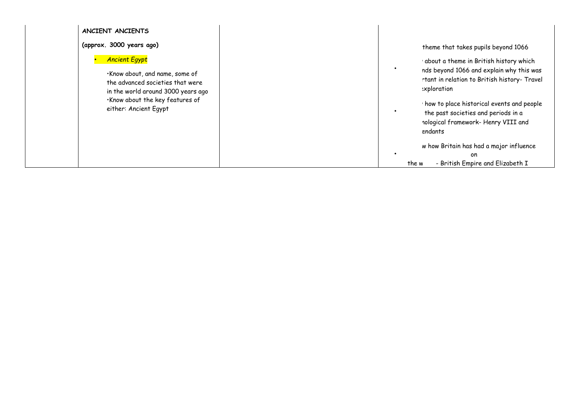| ANCIENT ANCIENTS                                                                                                                                        |                                    |                                                                                                                                                                                                                                                                                         |
|---------------------------------------------------------------------------------------------------------------------------------------------------------|------------------------------------|-----------------------------------------------------------------------------------------------------------------------------------------------------------------------------------------------------------------------------------------------------------------------------------------|
| (approx. 3000 years ago)                                                                                                                                |                                    | theme that takes pupils beyond 1066                                                                                                                                                                                                                                                     |
| <b>Ancient Egypt</b><br>·Know about, and name, some of<br>the advanced societies that were<br>. Know about the key features of<br>either: Ancient Egypt | in the world around 3000 years ago | about a theme in British history which<br>nds beyond 1066 and explain why this was<br>rtant in relation to British history- Travel<br>:xploration<br>how to place historical events and people<br>the past societies and periods in a<br>nological framework- Henry VIII and<br>endants |
|                                                                                                                                                         |                                    | w how Britain has had a major influence<br>on<br>- British Empire and Elizabeth I<br>the w                                                                                                                                                                                              |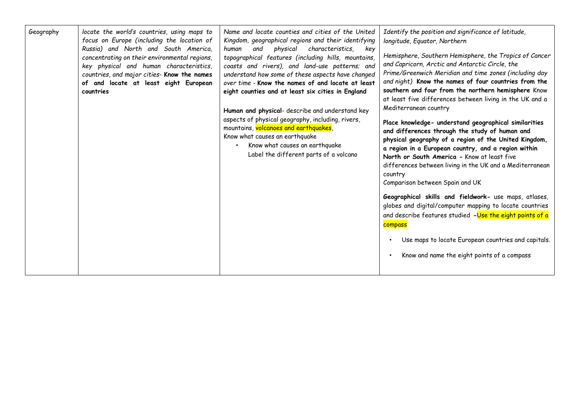| Geography | locate the world's countries, using maps to<br>focus on Europe (including the location of<br>Russia) and North and South America,<br>concentrating on their environmental regions,<br>key physical and human characteristics,<br>countries, and major cities- Know the names<br>of and locate at least eight European<br>countries | Name and locate counties and cities of the United<br>Kingdom, geographical regions and their identifying<br>physical characteristics, key<br>human<br>and<br>topographical features (including hills, mountains,<br>coasts and rivers), and land-use patterns; and<br>understand how some of these aspects have changed<br>over time - Know the names of and locate at least<br>eight counties and at least six cities in England<br>Human and physical- describe and understand key<br>aspects of physical geography, including, rivers,<br>mountains, volcanoes and earthquakes,<br>Know what causes an earthquake<br>Know what causes an earthquake<br>Label the different parts of a volcano | Identify the position and significance of latitude,<br>longitude, Equator, Northern<br>Hemisphere, Southern Hemisphere, the Tropics of Cancer<br>and Capricorn, Arctic and Antarctic Circle, the<br>Prime/Greenwich Meridian and time zones (including day<br>and night) Know the names of four countries from the<br>southern and four from the northern hemisphere Know<br>at least five differences between living in the UK and a<br>Mediterranean country<br>Place knowledge- understand geographical similarities<br>and differences through the study of human and<br>physical geography of a region of the United Kingdom,<br>a region in a European country, and a region within<br>North or South America - Know at least five<br>differences between living in the UK and a Mediterranean<br>country<br>Comparison between Spain and UK<br>Geographical skills and fieldwork- use maps, atlases,<br>globes and digital/computer mapping to locate countries<br>and describe features studied -Use the eight points of a<br>compass<br>Use maps to locate European countries and capitals.<br>Know and name the eight points of a compass |
|-----------|------------------------------------------------------------------------------------------------------------------------------------------------------------------------------------------------------------------------------------------------------------------------------------------------------------------------------------|--------------------------------------------------------------------------------------------------------------------------------------------------------------------------------------------------------------------------------------------------------------------------------------------------------------------------------------------------------------------------------------------------------------------------------------------------------------------------------------------------------------------------------------------------------------------------------------------------------------------------------------------------------------------------------------------------|-----------------------------------------------------------------------------------------------------------------------------------------------------------------------------------------------------------------------------------------------------------------------------------------------------------------------------------------------------------------------------------------------------------------------------------------------------------------------------------------------------------------------------------------------------------------------------------------------------------------------------------------------------------------------------------------------------------------------------------------------------------------------------------------------------------------------------------------------------------------------------------------------------------------------------------------------------------------------------------------------------------------------------------------------------------------------------------------------------------------------------------------------------|
|-----------|------------------------------------------------------------------------------------------------------------------------------------------------------------------------------------------------------------------------------------------------------------------------------------------------------------------------------------|--------------------------------------------------------------------------------------------------------------------------------------------------------------------------------------------------------------------------------------------------------------------------------------------------------------------------------------------------------------------------------------------------------------------------------------------------------------------------------------------------------------------------------------------------------------------------------------------------------------------------------------------------------------------------------------------------|-----------------------------------------------------------------------------------------------------------------------------------------------------------------------------------------------------------------------------------------------------------------------------------------------------------------------------------------------------------------------------------------------------------------------------------------------------------------------------------------------------------------------------------------------------------------------------------------------------------------------------------------------------------------------------------------------------------------------------------------------------------------------------------------------------------------------------------------------------------------------------------------------------------------------------------------------------------------------------------------------------------------------------------------------------------------------------------------------------------------------------------------------------|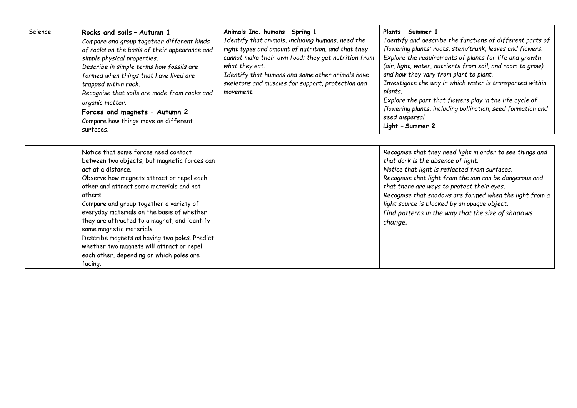| Science | Rocks and soils - Autumn 1<br>Compare and group together different kinds<br>of rocks on the basis of their appearance and<br>simple physical properties.<br>Describe in simple terms how fossils are<br>formed when things that have lived are<br>trapped within rock.<br>Recognise that soils are made from rocks and<br>organic matter.<br>Forces and magnets - Autumn 2<br>Compare how things move on different<br>surfaces. | Animals Inc. humans - Spring 1<br>Identify that animals, including humans, need the<br>right types and amount of nutrition, and that they<br>cannot make their own food; they get nutrition from<br>what they eat.<br>Identify that humans and some other animals have<br>skeletons and muscles for support, protection and<br>movement. | Plants - Summer 1<br>Identify and describe the functions of different parts of<br>flowering plants: roots, stem/trunk, leaves and flowers.<br>Explore the requirements of plants for life and growth<br>(air, light, water, nutrients from soil, and room to grow)<br>and how they vary from plant to plant.<br>Investigate the way in which water is transported within<br>plants.<br>Explore the part that flowers play in the life cycle of<br>flowering plants, including pollination, seed formation and<br>seed dispersal.<br>Light - Summer 2 |
|---------|---------------------------------------------------------------------------------------------------------------------------------------------------------------------------------------------------------------------------------------------------------------------------------------------------------------------------------------------------------------------------------------------------------------------------------|------------------------------------------------------------------------------------------------------------------------------------------------------------------------------------------------------------------------------------------------------------------------------------------------------------------------------------------|------------------------------------------------------------------------------------------------------------------------------------------------------------------------------------------------------------------------------------------------------------------------------------------------------------------------------------------------------------------------------------------------------------------------------------------------------------------------------------------------------------------------------------------------------|
|---------|---------------------------------------------------------------------------------------------------------------------------------------------------------------------------------------------------------------------------------------------------------------------------------------------------------------------------------------------------------------------------------------------------------------------------------|------------------------------------------------------------------------------------------------------------------------------------------------------------------------------------------------------------------------------------------------------------------------------------------------------------------------------------------|------------------------------------------------------------------------------------------------------------------------------------------------------------------------------------------------------------------------------------------------------------------------------------------------------------------------------------------------------------------------------------------------------------------------------------------------------------------------------------------------------------------------------------------------------|

| Notice that some forces need contact          | Recognise that they need light in order to see things and |
|-----------------------------------------------|-----------------------------------------------------------|
| between two objects, but magnetic forces can  | that dark is the absence of light.                        |
| act at a distance.                            | Notice that light is reflected from surfaces.             |
| Observe how magnets attract or repel each     | Recognise that light from the sun can be dangerous and    |
| other and attract some materials and not      | that there are ways to protect their eyes.                |
| others.                                       | Recognise that shadows are formed when the light from a   |
| Compare and group together a variety of       | light source is blocked by an opaque object.              |
| everyday materials on the basis of whether    | Find patterns in the way that the size of shadows         |
| they are attracted to a magnet, and identify  | change.                                                   |
| some magnetic materials.                      |                                                           |
| Describe magnets as having two poles. Predict |                                                           |
| whether two magnets will attract or repel     |                                                           |
| each other, depending on which poles are      |                                                           |
| facing.                                       |                                                           |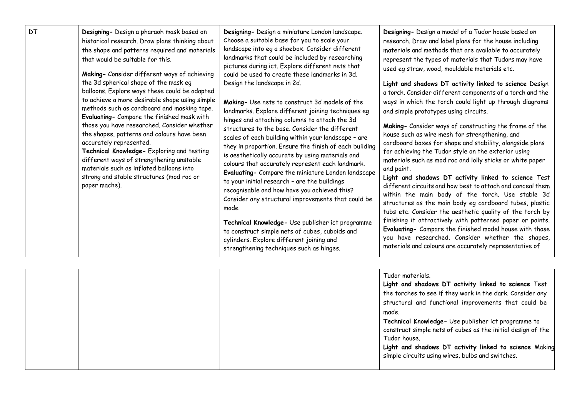| DT | Designing- Design a pharaoh mask based on<br>historical research. Draw plans thinking about<br>the shape and patterns required and materials<br>that would be suitable for this.<br>Making- Consider different ways of achieving<br>the 3d spherical shape of the mask eq<br>balloons. Explore ways these could be adapted<br>to achieve a more desirable shape using simple<br>methods such as cardboard and masking tape.<br>Evaluating- Compare the finished mask with<br>those you have researched. Consider whether<br>the shapes, patterns and colours have been<br>accurately represented.<br>Technical Knowledge- Exploring and testing<br>different ways of strengthening unstable<br>materials such as inflated balloons into<br>strong and stable structures (mod roc or<br>paper mache). | Designing- Design a miniature London landscape.<br>Choose a suitable base for you to scale your<br>landscape into eg a shoebox. Consider different<br>landmarks that could be included by researching<br>pictures during ict. Explore different nets that<br>could be used to create these landmarks in 3d.<br>Design the landscape in 2d.<br>Making- Use nets to construct 3d models of the<br>landmarks. Explore different joining techniques eg<br>hinges and attaching columns to attach the 3d<br>structures to the base. Consider the different<br>scales of each building within your landscape - are<br>they in proportion. Ensure the finish of each building<br>is aesthetically accurate by using materials and<br>colours that accurately represent each landmark.<br>Evaluating- Compare the miniature London landscape<br>to your initial research - are the buildings<br>recognisable and how have you achieved this?<br>Consider any structural improvements that could be<br>made<br>Technical Knowledge- Use publisher ict programme<br>to construct simple nets of cubes, cuboids and<br>cylinders. Explore different joining and<br>strengthening techniques such as hinges. | Designing- Design a model of a Tudor house based on<br>research. Draw and label plans for the house including<br>materials and methods that are available to accurately<br>represent the types of materials that Tudors may have<br>used eg straw, wood, mouldable materials etc.<br>Light and shadows DT activity linked to science Design<br>a torch. Consider different components of a torch and the<br>ways in which the torch could light up through diagrams<br>and simple prototypes using circuits.<br>Making- Consider ways of constructing the frame of the<br>house such as wire mesh for strengthening, and<br>cardboard boxes for shape and stability, alongside plans<br>for achieving the Tudor style on the exterior using<br>materials such as mod roc and lolly sticks or white paper<br>and paint.<br>Light and shadows DT activity linked to science Test<br>different circuits and how best to attach and conceal them<br>within the main body of the torch. Use stable 3d<br>structures as the main body eg cardboard tubes, plastic<br>tubs etc. Consider the aesthetic quality of the torch by<br>finishing it attractively with patterned paper or paints.<br>Evaluating- Compare the finished model house with those<br>you have researched. Consider whether the shapes,<br>materials and colours are accurately representative of |
|----|------------------------------------------------------------------------------------------------------------------------------------------------------------------------------------------------------------------------------------------------------------------------------------------------------------------------------------------------------------------------------------------------------------------------------------------------------------------------------------------------------------------------------------------------------------------------------------------------------------------------------------------------------------------------------------------------------------------------------------------------------------------------------------------------------|--------------------------------------------------------------------------------------------------------------------------------------------------------------------------------------------------------------------------------------------------------------------------------------------------------------------------------------------------------------------------------------------------------------------------------------------------------------------------------------------------------------------------------------------------------------------------------------------------------------------------------------------------------------------------------------------------------------------------------------------------------------------------------------------------------------------------------------------------------------------------------------------------------------------------------------------------------------------------------------------------------------------------------------------------------------------------------------------------------------------------------------------------------------------------------------------------|----------------------------------------------------------------------------------------------------------------------------------------------------------------------------------------------------------------------------------------------------------------------------------------------------------------------------------------------------------------------------------------------------------------------------------------------------------------------------------------------------------------------------------------------------------------------------------------------------------------------------------------------------------------------------------------------------------------------------------------------------------------------------------------------------------------------------------------------------------------------------------------------------------------------------------------------------------------------------------------------------------------------------------------------------------------------------------------------------------------------------------------------------------------------------------------------------------------------------------------------------------------------------------------------------------------------------------------------------------------|
|----|------------------------------------------------------------------------------------------------------------------------------------------------------------------------------------------------------------------------------------------------------------------------------------------------------------------------------------------------------------------------------------------------------------------------------------------------------------------------------------------------------------------------------------------------------------------------------------------------------------------------------------------------------------------------------------------------------------------------------------------------------------------------------------------------------|--------------------------------------------------------------------------------------------------------------------------------------------------------------------------------------------------------------------------------------------------------------------------------------------------------------------------------------------------------------------------------------------------------------------------------------------------------------------------------------------------------------------------------------------------------------------------------------------------------------------------------------------------------------------------------------------------------------------------------------------------------------------------------------------------------------------------------------------------------------------------------------------------------------------------------------------------------------------------------------------------------------------------------------------------------------------------------------------------------------------------------------------------------------------------------------------------|----------------------------------------------------------------------------------------------------------------------------------------------------------------------------------------------------------------------------------------------------------------------------------------------------------------------------------------------------------------------------------------------------------------------------------------------------------------------------------------------------------------------------------------------------------------------------------------------------------------------------------------------------------------------------------------------------------------------------------------------------------------------------------------------------------------------------------------------------------------------------------------------------------------------------------------------------------------------------------------------------------------------------------------------------------------------------------------------------------------------------------------------------------------------------------------------------------------------------------------------------------------------------------------------------------------------------------------------------------------|

| the torches to see if they work in the dark. Consider any<br>structural and functional improvements that could be<br>made.<br>Technical Knowledge- Use publisher ict programme to<br>construct simple nets of cubes as the initial design of the<br>Tudor house. |
|------------------------------------------------------------------------------------------------------------------------------------------------------------------------------------------------------------------------------------------------------------------|
| Light and shadows DT activity linked to science Making<br>simple circuits using wires, bulbs and switches.                                                                                                                                                       |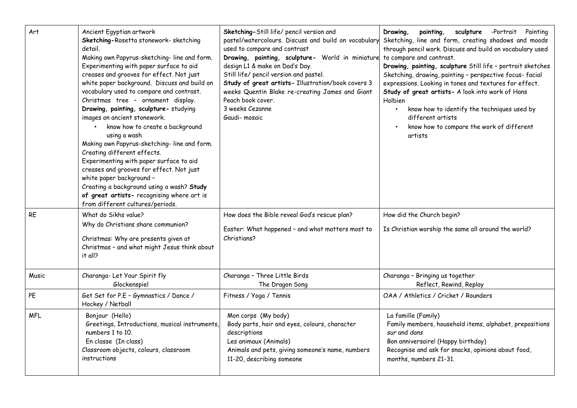| Art        | Ancient Egyptian artwork<br>Sketching-Rosetta stonework- sketching<br>detail.<br>Making own Papyrus-sketching-line and form.<br>Experimenting with paper surface to aid<br>creases and grooves for effect. Not just<br>white paper background. Discuss and build on<br>vocabulary used to compare and contrast.<br>Christmas tree - ornament display.<br>Drawing, painting, sculpture- studying<br>images on ancient stonework.<br>know how to create a background<br>using a wash<br>Making own Papyrus-sketching-line and form.<br>Creating different effects.<br>Experimenting with paper surface to aid<br>creases and grooves for effect. Not just<br>white paper background -<br>Creating a background using a wash? Study<br>of great artists- recognising where art is<br>from different cultures/periods. | Sketching-Still life/ pencil version and<br>pastel/watercolours. Discuss and build on vocabulary<br>used to compare and contrast<br>Drawing, painting, sculpture- World in miniature<br>design L1 & make on Dad's Day.<br>Still life/ pencil version and pastel.<br>Study of great artists- Illustration/book covers 3<br>weeks Quentin Blake re-creating James and Giant<br>Peach book cover.<br>3 weeks Cezanne<br>Gaudi-mosaic | Drawing,<br>sculpture -Portrait Painting<br>painting,<br>Sketching, line and form, creating shadows and moods<br>through pencil work. Discuss and build on vocabulary used<br>to compare and contrast.<br>Drawing, painting, sculpture Still life - portrait sketches<br>Sketching, drawing, painting - perspective focus-facial<br>expressions. Looking in tones and textures for effect.<br>Study of great artists- A look into work of Hans<br>Holbien<br>know how to identify the techniques used by<br>different artists<br>know how to compare the work of different<br>artists |
|------------|--------------------------------------------------------------------------------------------------------------------------------------------------------------------------------------------------------------------------------------------------------------------------------------------------------------------------------------------------------------------------------------------------------------------------------------------------------------------------------------------------------------------------------------------------------------------------------------------------------------------------------------------------------------------------------------------------------------------------------------------------------------------------------------------------------------------|-----------------------------------------------------------------------------------------------------------------------------------------------------------------------------------------------------------------------------------------------------------------------------------------------------------------------------------------------------------------------------------------------------------------------------------|---------------------------------------------------------------------------------------------------------------------------------------------------------------------------------------------------------------------------------------------------------------------------------------------------------------------------------------------------------------------------------------------------------------------------------------------------------------------------------------------------------------------------------------------------------------------------------------|
| <b>RE</b>  | What do Sikhs value?<br>Why do Christians share communion?<br>Christmas: Why are presents given at<br>Christmas - and what might Jesus think about<br>it all?                                                                                                                                                                                                                                                                                                                                                                                                                                                                                                                                                                                                                                                      | How does the Bible reveal God's rescue plan?<br>Easter: What happened - and what matters most to<br>Christians?                                                                                                                                                                                                                                                                                                                   | How did the Church begin?<br>Is Christian worship the same all around the world?                                                                                                                                                                                                                                                                                                                                                                                                                                                                                                      |
| Music      | Charanga- Let Your Spirit fly<br>Glockenspiel                                                                                                                                                                                                                                                                                                                                                                                                                                                                                                                                                                                                                                                                                                                                                                      | Charanga - Three Little Birds<br>The Dragon Song                                                                                                                                                                                                                                                                                                                                                                                  | Charanga - Bringing us together<br>Reflect, Rewind, Replay                                                                                                                                                                                                                                                                                                                                                                                                                                                                                                                            |
| PE         | Get Set for P.E - Gymnastics / Dance /<br>Hockey / Netball                                                                                                                                                                                                                                                                                                                                                                                                                                                                                                                                                                                                                                                                                                                                                         | Fitness / Yoga / Tennis                                                                                                                                                                                                                                                                                                                                                                                                           | OAA / Athletics / Cricket / Rounders                                                                                                                                                                                                                                                                                                                                                                                                                                                                                                                                                  |
| <b>MFL</b> | Bonjour (Hello)<br>Greetings, Introductions, musical instruments,<br>numbers 1 to 10.<br>En classe (In class)<br>Classroom objects, colours, classroom<br>instructions                                                                                                                                                                                                                                                                                                                                                                                                                                                                                                                                                                                                                                             | Mon corps (My body)<br>Body parts, hair and eyes, colours, character<br>descriptions<br>Les animaux (Animals)<br>Animals and pets, giving someone's name, numbers<br>11-20, describing someone                                                                                                                                                                                                                                    | La famille (Family)<br>Family members, household items, alphabet, prepositions<br>sur and dans<br>Bon anniversaire! (Happy birthday)<br>Recognise and ask for snacks, opinions about food,<br>months, numbers 21-31.                                                                                                                                                                                                                                                                                                                                                                  |